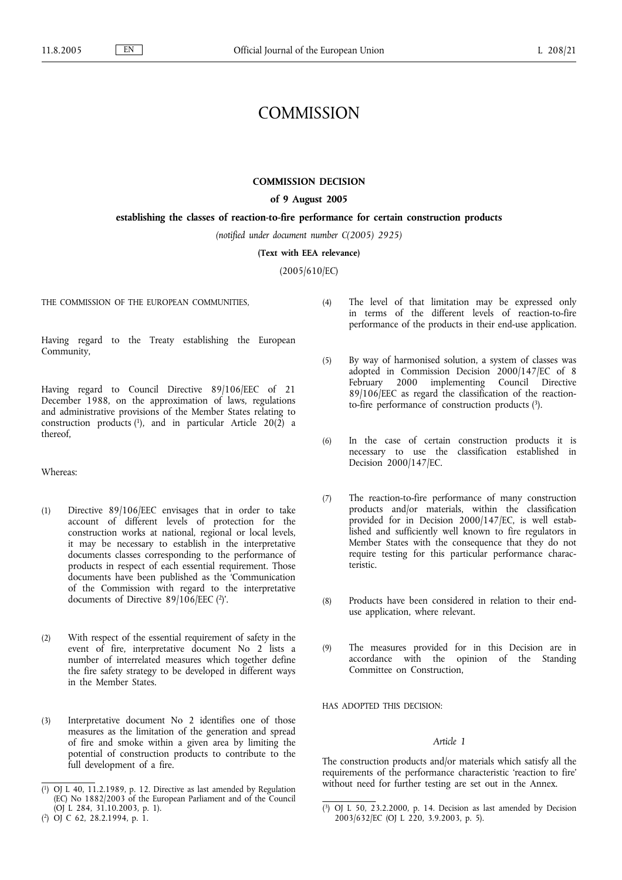# **COMMISSION**

### **COMMISSION DECISION**

# **of 9 August 2005**

### **establishing the classes of reaction-to-fire performance for certain construction products**

*(notified under document number C(2005) 2925)*

**(Text with EEA relevance)**

(2005/610/EC)

THE COMMISSION OF THE EUROPEAN COMMUNITIES,

Having regard to the Treaty establishing the European Community,

Having regard to Council Directive 89/106/EEC of 21 December 1988, on the approximation of laws, regulations and administrative provisions of the Member States relating to construction products  $(1)$ , and in particular Article 20 $(2)$  a thereof,

### Whereas:

- (1) Directive 89/106/EEC envisages that in order to take account of different levels of protection for the construction works at national, regional or local levels, it may be necessary to establish in the interpretative documents classes corresponding to the performance of products in respect of each essential requirement. Those documents have been published as the 'Communication of the Commission with regard to the interpretative documents of Directive 89/106/EEC (2)'.
- (2) With respect of the essential requirement of safety in the event of fire, interpretative document No 2 lists a number of interrelated measures which together define the fire safety strategy to be developed in different ways in the Member States.
- (3) Interpretative document No 2 identifies one of those measures as the limitation of the generation and spread of fire and smoke within a given area by limiting the potential of construction products to contribute to the full development of a fire.
- (4) The level of that limitation may be expressed only in terms of the different levels of reaction-to-fire performance of the products in their end-use application.
- (5) By way of harmonised solution, a system of classes was adopted in Commission Decision 2000/147/EC of 8 February 2000 implementing Council Directive 89/106/EEC as regard the classification of the reactionto-fire performance of construction products (3).
- (6) In the case of certain construction products it is necessary to use the classification established in Decision 2000/147/EC.
- (7) The reaction-to-fire performance of many construction products and/or materials, within the classification provided for in Decision 2000/147/EC, is well established and sufficiently well known to fire regulators in Member States with the consequence that they do not require testing for this particular performance characteristic.
- (8) Products have been considered in relation to their enduse application, where relevant.
- (9) The measures provided for in this Decision are in accordance with the opinion of the Standing Committee on Construction,

HAS ADOPTED THIS DECISION:

### *Article 1*

The construction products and/or materials which satisfy all the requirements of the performance characteristic 'reaction to fire' without need for further testing are set out in the Annex.

<sup>(</sup> 1) OJ L 40, 11.2.1989, p. 12. Directive as last amended by Regulation (EC) No 1882/2003 of the European Parliament and of the Council (OJ L 284, 31.10.2003, p. 1).

<sup>(</sup> 2) OJ C 62, 28.2.1994, p. 1.

<sup>(</sup> 3) OJ L 50, 23.2.2000, p. 14. Decision as last amended by Decision 2003/632/EC (OJ L 220, 3.9.2003, p. 5).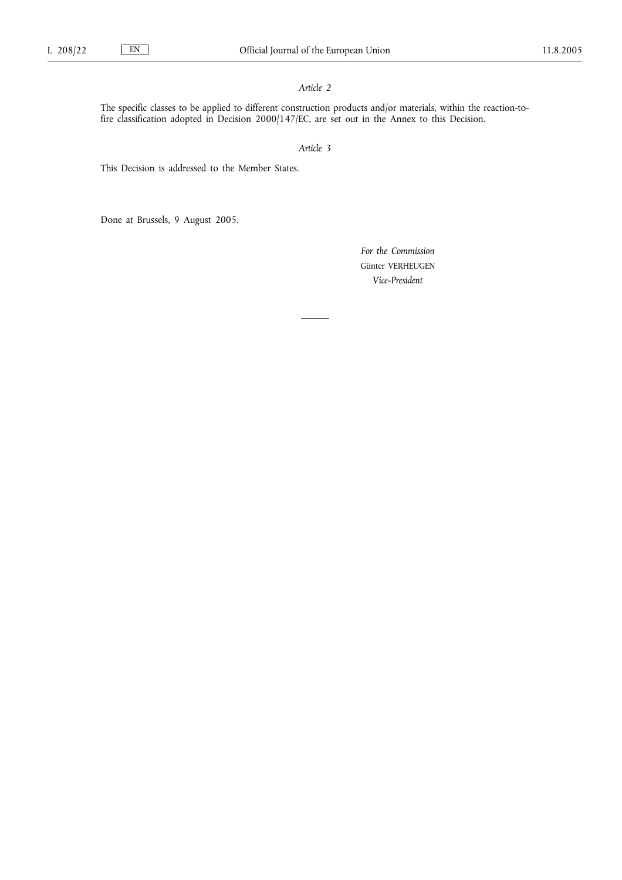### *Article 2*

The specific classes to be applied to different construction products and/or materials, within the reaction-tofire classification adopted in Decision 2000/147/EC, are set out in the Annex to this Decision.

*Article 3*

This Decision is addressed to the Member States.

Done at Brussels, 9 August 2005.

*For the Commission* Günter VERHEUGEN *Vice-President*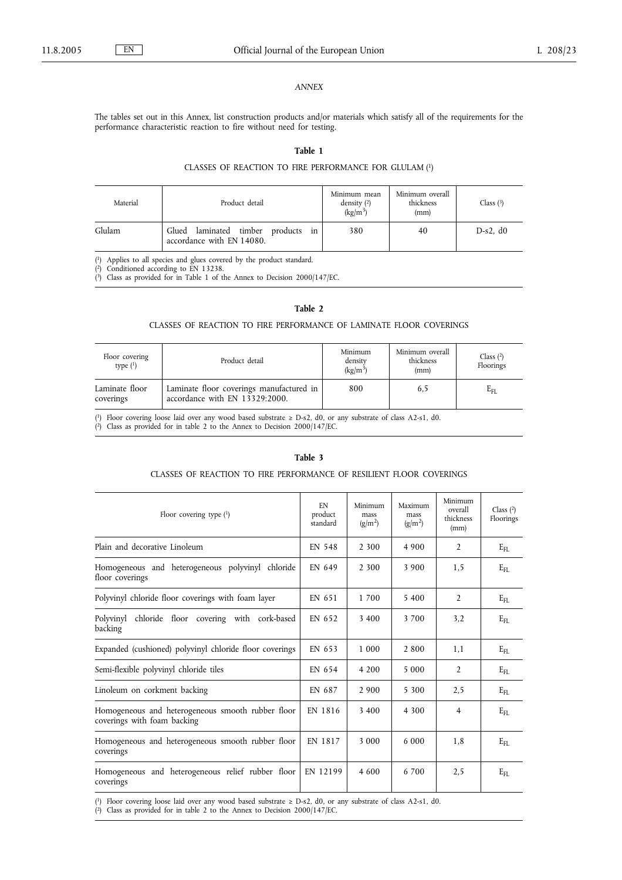### *ANNEX*

The tables set out in this Annex, list construction products and/or materials which satisfy all of the requirements for the performance characteristic reaction to fire without need for testing.

# **Table 1**

# CLASSES OF REACTION TO FIRE PERFORMANCE FOR GLULAM (1)

| Material | Product detail                                                  | Minimum mean<br>density $(2)$<br>$(kg/m^3)$ | Minimum overall<br>thickness<br>(mm) | Class $(3)$ |
|----------|-----------------------------------------------------------------|---------------------------------------------|--------------------------------------|-------------|
| Glulam   | Glued laminated timber products in<br>accordance with EN 14080. | 380                                         | 40                                   | $D-s2. d0$  |

( 1) Applies to all species and glues covered by the product standard.

( 2) Conditioned according to EN 13238.

( 3) Class as provided for in Table 1 of the Annex to Decision 2000/147/EC.

### **Table 2**

#### CLASSES OF REACTION TO FIRE PERFORMANCE OF LAMINATE FLOOR COVERINGS

| Floor covering<br>type $(1)$ | Product detail                                                             | Minimum<br>density<br>$(kg/m^3)$ | Minimum overall<br>thickness<br>(mm) | Class $(2)$<br>Floorings |
|------------------------------|----------------------------------------------------------------------------|----------------------------------|--------------------------------------|--------------------------|
| Laminate floor<br>coverings  | Laminate floor coverings manufactured in<br>accordance with EN 13329:2000. | 800                              | 6,5                                  | $E_{\rm FL}$             |

( 1) Floor covering loose laid over any wood based substrate ≥ D-s2, d0, or any substrate of class A2-s1, d0.

( 2) Class as provided for in table 2 to the Annex to Decision 2000/147/EC.

#### **Table 3**

# CLASSES OF REACTION TO FIRE PERFORMANCE OF RESILIENT FLOOR COVERINGS

| Floor covering type $(1)$                                                        | EN<br>product<br>standard | Minimum<br>mass<br>$(g/m^2)$ | Maximum<br>mass<br>$(g/m^2)$ | Minimum<br>overall<br>thickness<br>(mm) | Class $(2)$<br>Floorings |
|----------------------------------------------------------------------------------|---------------------------|------------------------------|------------------------------|-----------------------------------------|--------------------------|
| Plain and decorative Linoleum                                                    | EN 548                    | 2 3 0 0                      | 4 9 0 0                      | $\overline{2}$                          | $E_{\rm FL}$             |
| Homogeneous and heterogeneous polyvinyl chloride<br>floor coverings              | EN 649                    | 2 3 0 0                      | 3 9 0 0                      | 1,5                                     | $E_{\rm FI}$             |
| Polyvinyl chloride floor coverings with foam layer                               | EN 651                    | 1 700                        | 5 400                        | $\overline{2}$                          | $E_{FL}$                 |
| Polyvinyl chloride floor covering with cork-based<br>backing                     | EN 652                    | 3 4 0 0                      | 3700                         | 3,2                                     | $E_{\text{FL}}$          |
| Expanded (cushioned) polyvinyl chloride floor coverings                          | EN 653                    | 1 0 0 0                      | 2 800                        | 1,1                                     | $E_{FL}$                 |
| Semi-flexible polyvinyl chloride tiles                                           | EN 654                    | 4 200                        | 5 000                        | $\mathfrak{D}$                          | $E_{FL}$                 |
| Linoleum on corkment backing                                                     | EN 687                    | 2 9 0 0                      | 5 300                        | 2.5                                     | $E_{FL}$                 |
| Homogeneous and heterogeneous smooth rubber floor<br>coverings with foam backing | EN 1816                   | 3 4 0 0                      | 4 3 0 0                      | $\overline{4}$                          | $E_{\text{FL}}$          |
| Homogeneous and heterogeneous smooth rubber floor<br>coverings                   | EN 1817                   | 3 0 0 0                      | 6 0 0 0                      | 1.8                                     | $E_{\text{FL}}$          |
| Homogeneous and heterogeneous relief rubber floor<br>coverings                   | EN 12199                  | 4600                         | 6 700                        | 2,5                                     | $E_{\rm{FI}}$            |

( 1) Floor covering loose laid over any wood based substrate ≥ D-s2, d0, or any substrate of class A2-s1, d0.

( 2) Class as provided for in table 2 to the Annex to Decision 2000/147/EC.